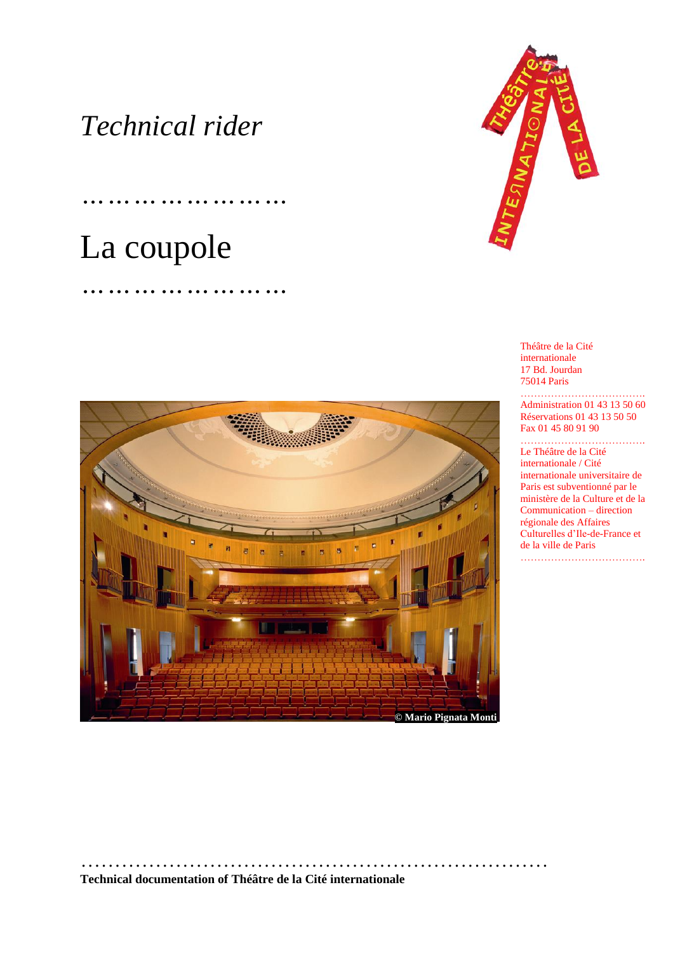## *Technical rider*

*……………………*

*……………………*

# La coupole



Théâtre de la Cité internationale 17 Bd. Jourdan 75014 Paris

………………………………. Administration 01 43 13 50 60 Réservations 01 43 13 50 50 Fax 01 45 80 91 90

#### ………………………………. Le Théâtre de la Cité

internationale / Cité internationale universitaire de Paris est subventionné par le ministère de la Culture et de la Communication – direction régionale des Affaires Culturelles d'Ile-de-France et de la ville de Paris ……………………………….



#### **Technical documentation of Théâtre de la Cité internationale**

……………………………………………………………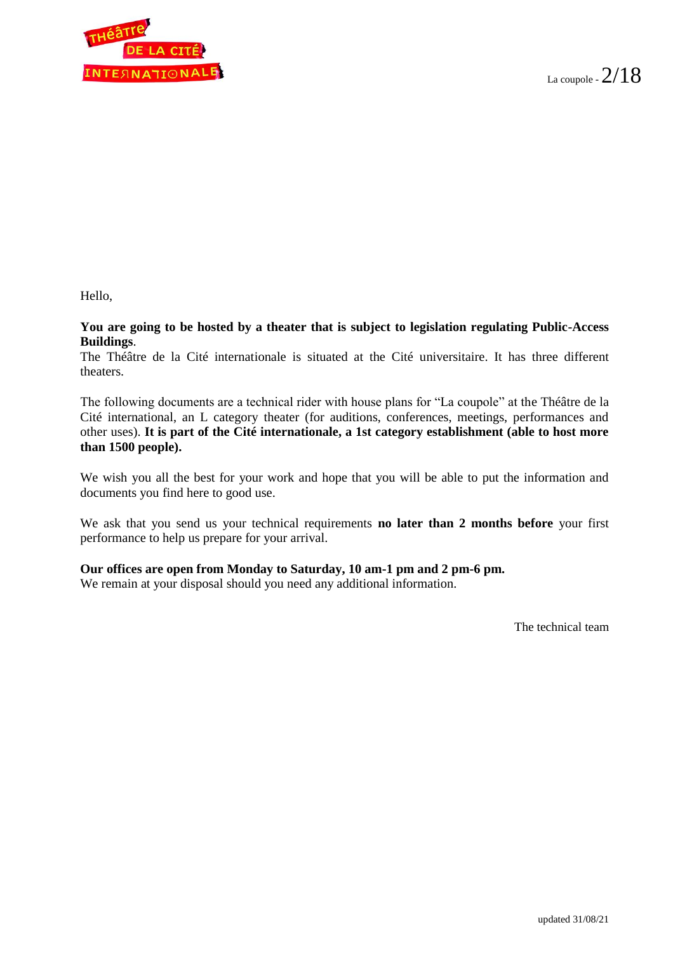

Hello,

**You are going to be hosted by a theater that is subject to legislation regulating Public-Access Buildings**.

The Théâtre de la Cité internationale is situated at the Cité universitaire. It has three different theaters.

The following documents are a technical rider with house plans for "La coupole" at the Théâtre de la Cité international, an L category theater (for auditions, conferences, meetings, performances and other uses). **It is part of the Cité internationale, a 1st category establishment (able to host more than 1500 people).**

We wish you all the best for your work and hope that you will be able to put the information and documents you find here to good use.

We ask that you send us your technical requirements **no later than 2 months before** your first performance to help us prepare for your arrival.

#### **Our offices are open from Monday to Saturday, 10 am-1 pm and 2 pm-6 pm.**

We remain at your disposal should you need any additional information.

The technical team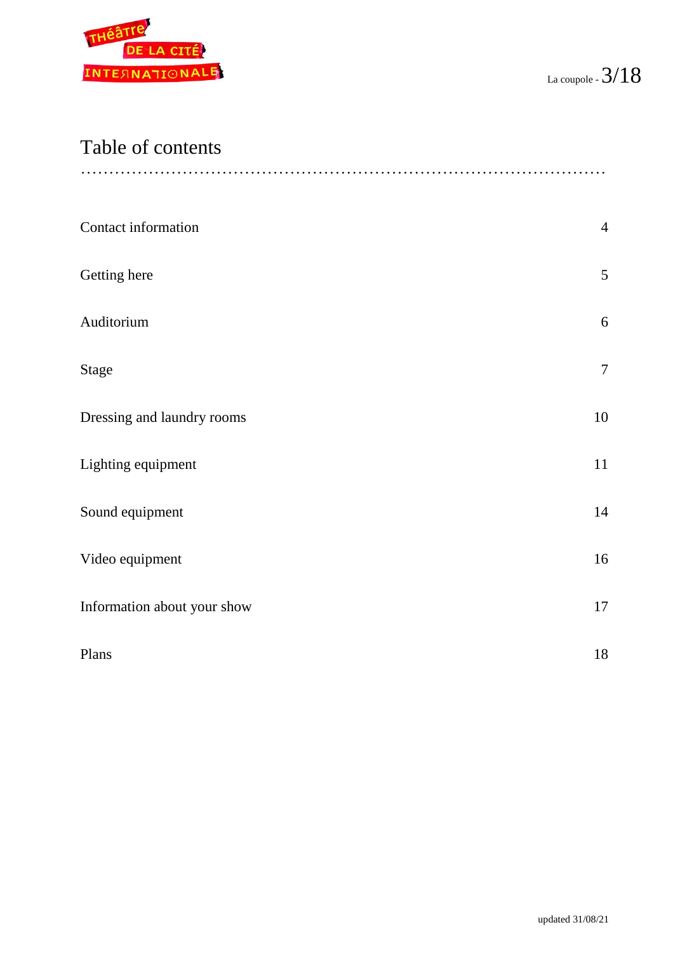

## Table of contents

| Contact information         | $\overline{4}$ |
|-----------------------------|----------------|
| Getting here                | 5              |
| Auditorium                  | 6              |
| <b>Stage</b>                | $\overline{7}$ |
| Dressing and laundry rooms  | $10\,$         |
| Lighting equipment          | 11             |
| Sound equipment             | 14             |
| Video equipment             | 16             |
| Information about your show | 17             |
| Plans                       | 18             |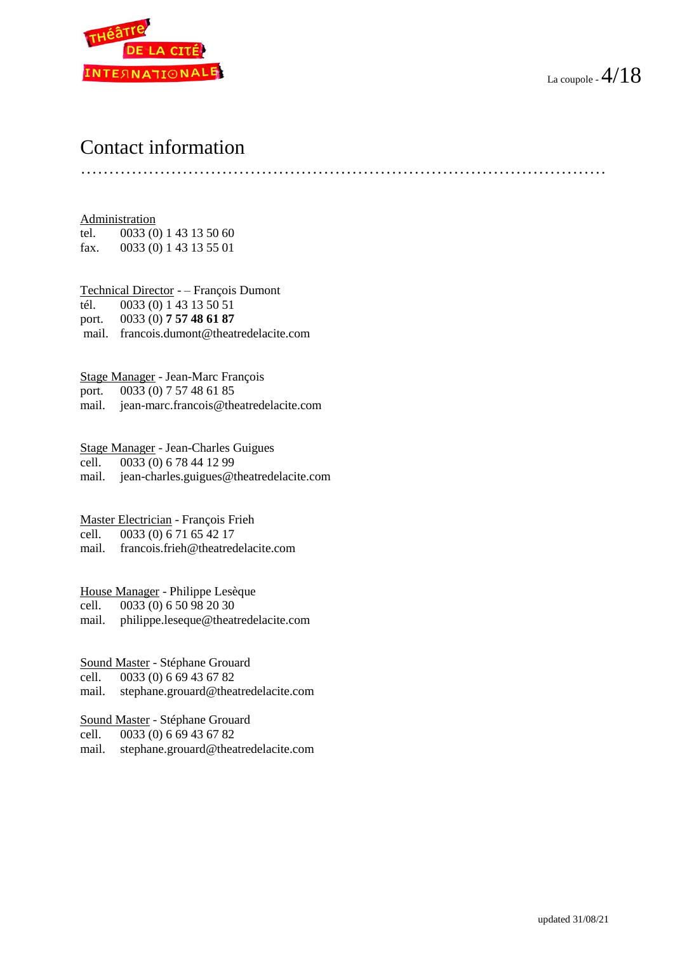

## Contact information

…………………………………………………………………………………

Administration tel. 0033 (0) 1 43 13 50 60 fax. 0033 (0) 1 43 13 55 01

Technical Director - – François Dumont tél. 0033 (0) 1 43 13 50 51 port. 0033 (0) **7 57 48 61 87** mail. francois.dumont@theatredelacite.com

Stage Manager - Jean-Marc François port. 0033 (0) 7 57 48 61 85

mail. jean-marc.francois@theatredelacite.com

Stage Manager - Jean-Charles Guigues

cell. 0033 (0) 6 78 44 12 99

mail. jean-charles.guigues@theatredelacite.com

Master Electrician - François Frieh

cell. 0033 (0) 6 71 65 42 17

mail. francois.frieh@theatredelacite.com

House Manager - Philippe Lesèque

cell. 0033 (0) 6 50 98 20 30

mail. philippe.leseque@theatredelacite.com

Sound Master - Stéphane Grouard

cell. 0033 (0) 6 69 43 67 82

mail. stephane.grouard@theatredelacite.com

Sound Master - Stéphane Grouard

cell. 0033 (0) 6 69 43 67 82

mail. stephane.grouard@theatredelacite.com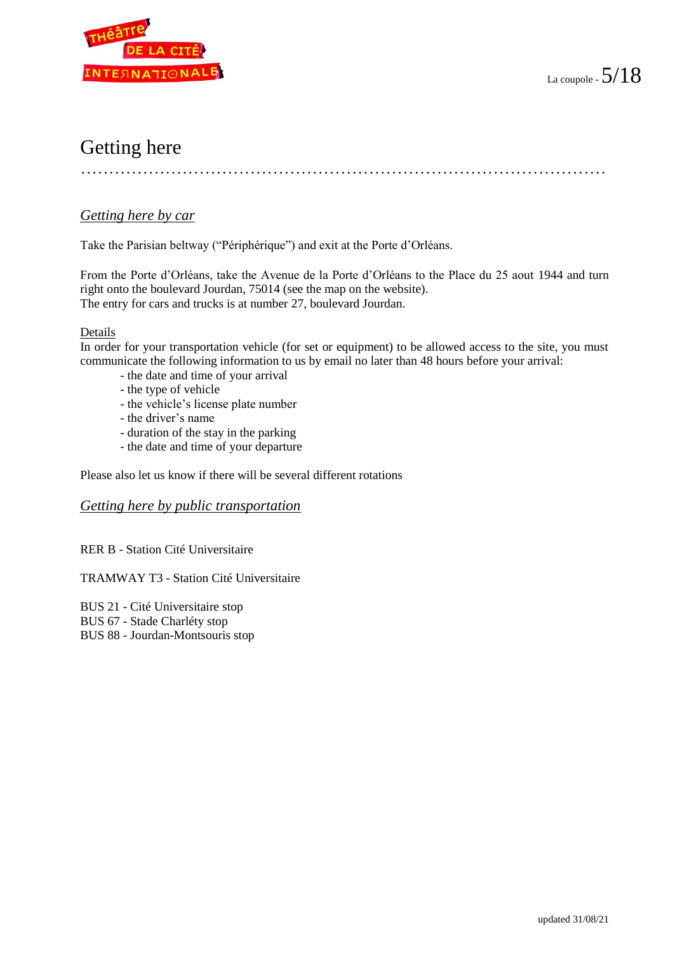

## Getting here

…………………………………………………………………………………

#### *Getting here by car*

Take the Parisian beltway ("Périphérique") and exit at the Porte d'Orléans.

From the Porte d'Orléans, take the Avenue de la Porte d'Orléans to the Place du 25 aout 1944 and turn right onto the boulevard Jourdan, 75014 (see the map on the website). The entry for cars and trucks is at number 27, boulevard Jourdan.

#### Details

In order for your transportation vehicle (for set or equipment) to be allowed access to the site, you must communicate the following information to us by email no later than 48 hours before your arrival:

- the date and time of your arrival
- the type of vehicle
- the vehicle's license plate number
- the driver's name
- duration of the stay in the parking
- the date and time of your departure

Please also let us know if there will be several different rotations

#### *Getting here by public transportation*

RER B - Station Cité Universitaire

#### TRAMWAY T3 - Station Cité Universitaire

BUS 21 - Cité Universitaire stop BUS 67 - Stade Charléty stop

BUS 88 - Jourdan-Montsouris stop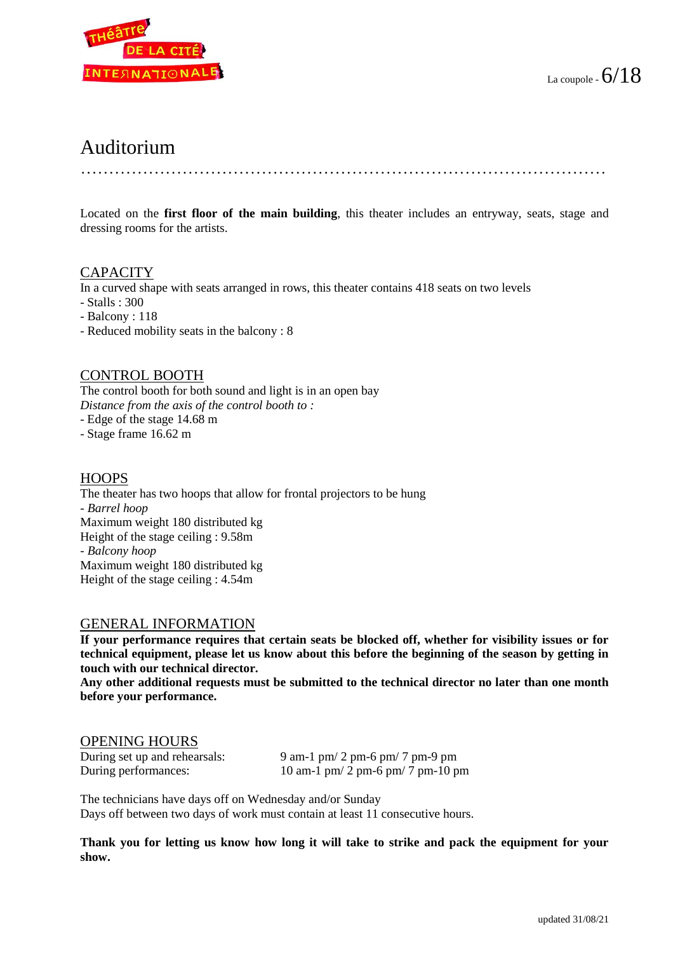

## Auditorium

…………………………………………………………………………………

Located on the **first floor of the main building**, this theater includes an entryway, seats, stage and dressing rooms for the artists.

#### **CAPACITY**

In a curved shape with seats arranged in rows, this theater contains 418 seats on two levels

- Stalls : 300
- Balcony : 118
- Reduced mobility seats in the balcony : 8

#### CONTROL BOOTH

The control booth for both sound and light is in an open bay *Distance from the axis of the control booth to :* 

- Edge of the stage 14.68 m

- Stage frame 16.62 m

#### **HOOPS**

The theater has two hoops that allow for frontal projectors to be hung *- Barrel hoop* Maximum weight 180 distributed kg Height of the stage ceiling : 9.58m *- Balcony hoop* Maximum weight 180 distributed kg Height of the stage ceiling : 4.54m

#### GENERAL INFORMATION

**If your performance requires that certain seats be blocked off, whether for visibility issues or for technical equipment, please let us know about this before the beginning of the season by getting in touch with our technical director.**

**Any other additional requests must be submitted to the technical director no later than one month before your performance.**

#### OPENING HOURS

| During set up and rehearsals: | $9$ am-1 p         |
|-------------------------------|--------------------|
| During performances:          | $10 \text{ am-}11$ |

 $m/2$  pm-6 pm/ 7 pm-9 pm  $pm/ 2$  pm-6 pm/ 7 pm-10 pm

The technicians have days off on Wednesday and/or Sunday Days off between two days of work must contain at least 11 consecutive hours.

**Thank you for letting us know how long it will take to strike and pack the equipment for your show.**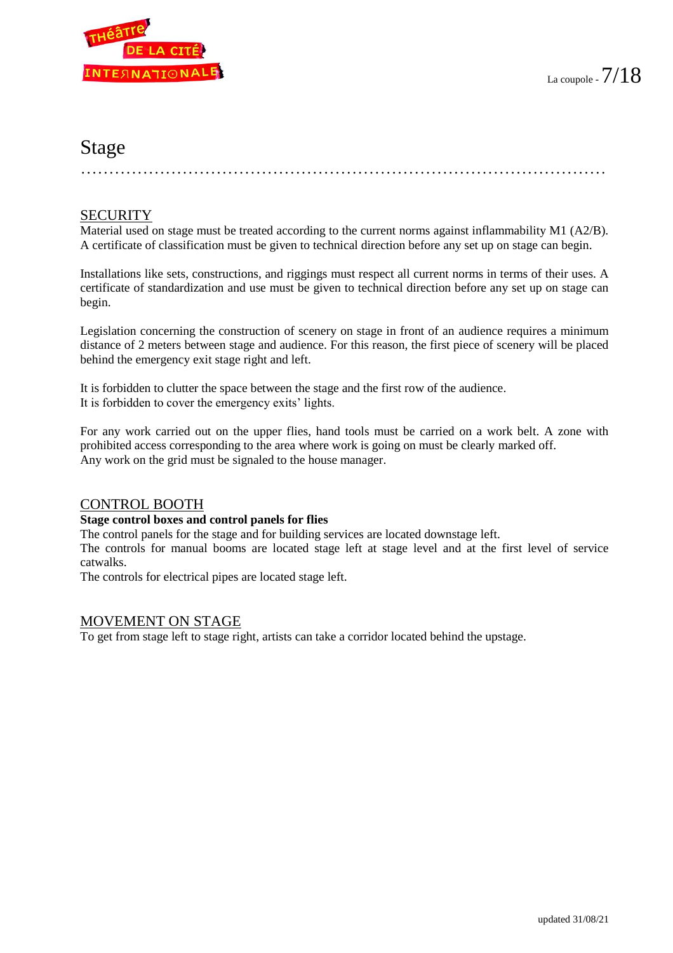

### Stage

…………………………………………………………………………………

#### **SECURITY**

Material used on stage must be treated according to the current norms against inflammability M1 (A2/B). A certificate of classification must be given to technical direction before any set up on stage can begin.

Installations like sets, constructions, and riggings must respect all current norms in terms of their uses. A certificate of standardization and use must be given to technical direction before any set up on stage can begin.

Legislation concerning the construction of scenery on stage in front of an audience requires a minimum distance of 2 meters between stage and audience. For this reason, the first piece of scenery will be placed behind the emergency exit stage right and left.

It is forbidden to clutter the space between the stage and the first row of the audience. It is forbidden to cover the emergency exits' lights.

For any work carried out on the upper flies, hand tools must be carried on a work belt. A zone with prohibited access corresponding to the area where work is going on must be clearly marked off. Any work on the grid must be signaled to the house manager.

#### CONTROL BOOTH

#### **Stage control boxes and control panels for flies**

The control panels for the stage and for building services are located downstage left.

The controls for manual booms are located stage left at stage level and at the first level of service catwalks.

The controls for electrical pipes are located stage left.

#### MOVEMENT ON STAGE

To get from stage left to stage right, artists can take a corridor located behind the upstage.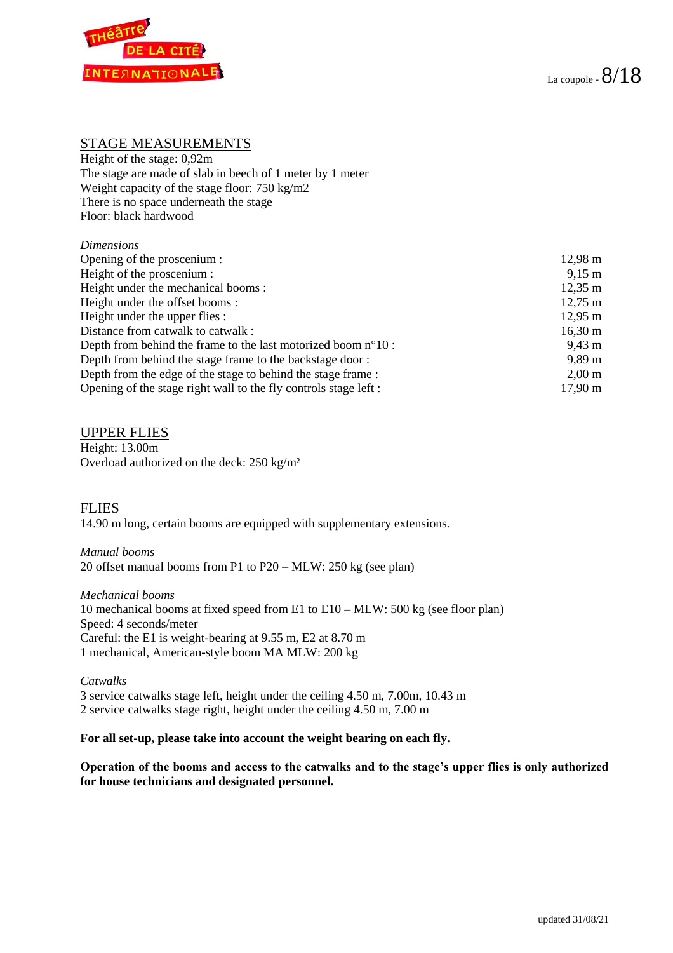

#### STAGE MEASUREMENTS

Height of the stage: 0,92m The stage are made of slab in beech of 1 meter by 1 meter Weight capacity of the stage floor: 750 kg/m2 There is no space underneath the stage Floor: black hardwood

#### *Dimensions*

| Opening of the proscenium :                                            | $12,98 \; \mathrm{m}$ |
|------------------------------------------------------------------------|-----------------------|
| Height of the proscenium :                                             | $9,15 \; \text{m}$    |
| Height under the mechanical booms:                                     | $12,35 \; \text{m}$   |
| Height under the offset booms:                                         | $12,75 \; \text{m}$   |
| Height under the upper flies :                                         | $12,95 \; \mathrm{m}$ |
| Distance from catwalk to catwalk :                                     | $16,30 \text{ m}$     |
| Depth from behind the frame to the last motorized boom $n^{\circ}10$ : | $9.43 \text{ m}$      |
| Depth from behind the stage frame to the backstage door:               | $9,89 \,\mathrm{m}$   |
| Depth from the edge of the stage to behind the stage frame:            | $2,00 \text{ m}$      |
| Opening of the stage right wall to the fly controls stage left :       | $17.90 \text{ m}$     |

#### UPPER FLIES

Height: 13.00m Overload authorized on the deck: 250 kg/m²

FLIES 14.90 m long, certain booms are equipped with supplementary extensions.

#### *Manual booms*

20 offset manual booms from P1 to P20 – MLW: 250 kg (see plan)

*Mechanical booms* 10 mechanical booms at fixed speed from E1 to E10 – MLW: 500 kg (see floor plan) Speed: 4 seconds/meter Careful: the E1 is weight-bearing at 9.55 m, E2 at 8.70 m 1 mechanical, American-style boom MA MLW: 200 kg

*Catwalks* 3 service catwalks stage left, height under the ceiling 4.50 m, 7.00m, 10.43 m 2 service catwalks stage right, height under the ceiling 4.50 m, 7.00 m

#### **For all set-up, please take into account the weight bearing on each fly.**

**Operation of the booms and access to the catwalks and to the stage's upper flies is only authorized for house technicians and designated personnel.**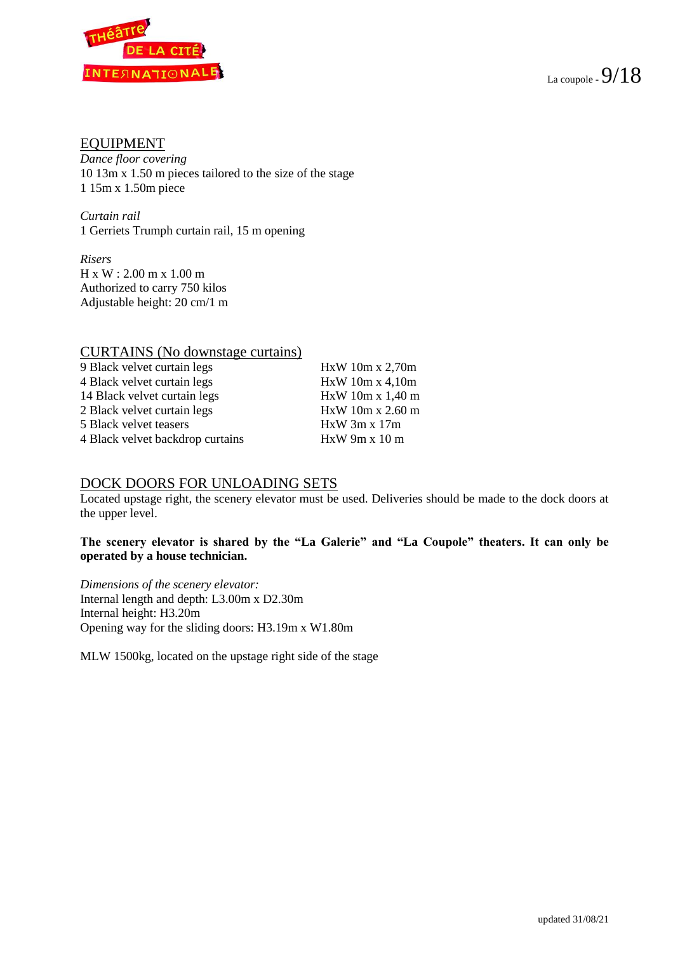

#### EQUIPMENT

*Dance floor covering*  10 13m x 1.50 m pieces tailored to the size of the stage 1 15m x 1.50m piece

*Curtain rail*  1 Gerriets Trumph curtain rail, 15 m opening

*Risers* H x W : 2.00 m x 1.00 m Authorized to carry 750 kilos Adjustable height: 20 cm/1 m

#### CURTAINS (No downstage curtains)

| 9 Black velvet curtain legs      | HxW 10m x 2,70m  |
|----------------------------------|------------------|
| 4 Black velvet curtain legs      | HxW10m x4,10m    |
| 14 Black velvet curtain legs     | HxW 10m x 1,40 m |
| 2 Black velvet curtain legs      | HxW 10m x 2.60 m |
| 5 Black velvet teasers           | $HxW$ 3m x 17m   |
| 4 Black velvet backdrop curtains | HxW9m x 10m      |
|                                  |                  |

#### DOCK DOORS FOR UNLOADING SETS

Located upstage right, the scenery elevator must be used. Deliveries should be made to the dock doors at the upper level.

#### **The scenery elevator is shared by the "La Galerie" and "La Coupole" theaters. It can only be operated by a house technician.**

*Dimensions of the scenery elevator:* Internal length and depth: L3.00m x D2.30m Internal height: H3.20m Opening way for the sliding doors: H3.19m x W1.80m

MLW 1500kg, located on the upstage right side of the stage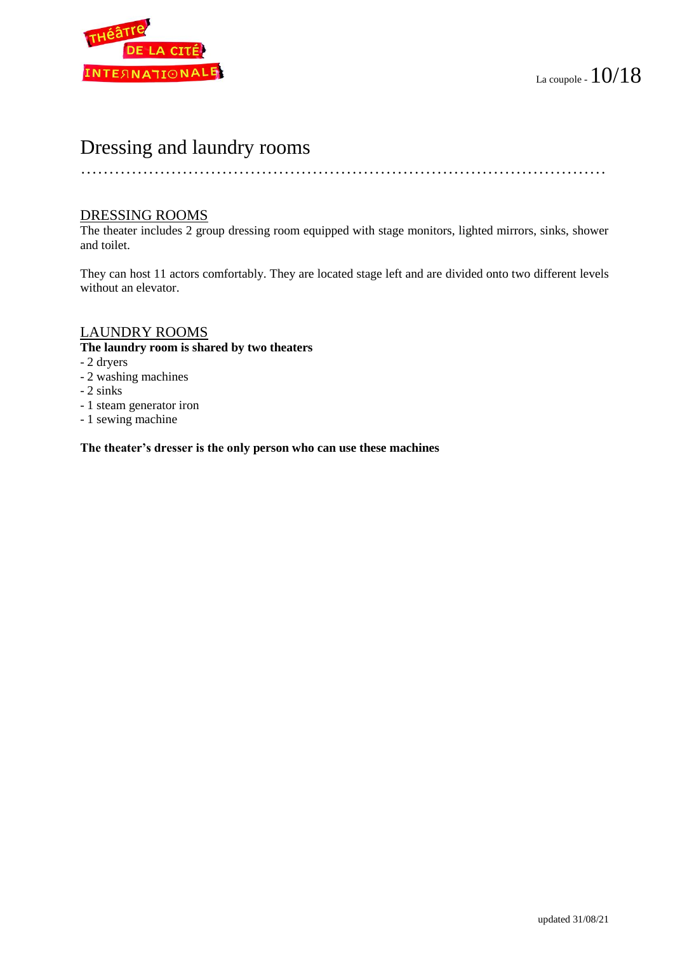

## Dressing and laundry rooms

…………………………………………………………………………………

#### DRESSING ROOMS

The theater includes 2 group dressing room equipped with stage monitors, lighted mirrors, sinks, shower and toilet.

They can host 11 actors comfortably. They are located stage left and are divided onto two different levels without an elevator.

#### LAUNDRY ROOMS

#### **The laundry room is shared by two theaters**

- 2 dryers
- 2 washing machines
- 2 sinks
- 1 steam generator iron
- 1 sewing machine

**The theater's dresser is the only person who can use these machines**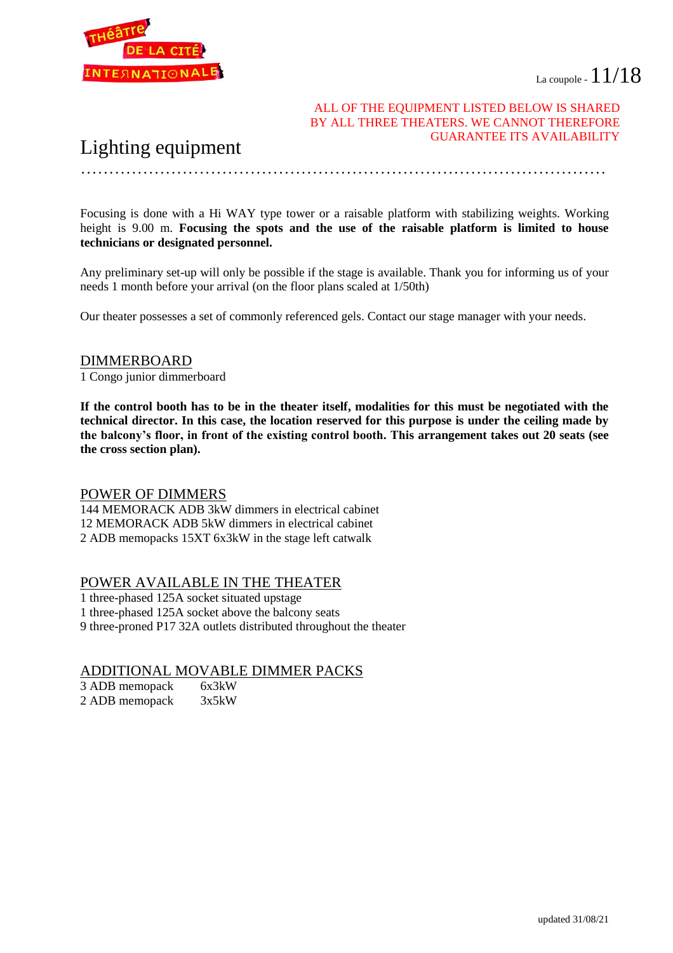



#### ALL OF THE EQUIPMENT LISTED BELOW IS SHARED BY ALL THREE THEATERS. WE CANNOT THEREFORE GUARANTEE ITS AVAILABILITY

…………………………………………………………………………………

## Lighting equipment

Focusing is done with a Hi WAY type tower or a raisable platform with stabilizing weights. Working height is 9.00 m. **Focusing the spots and the use of the raisable platform is limited to house technicians or designated personnel.**

Any preliminary set-up will only be possible if the stage is available. Thank you for informing us of your needs 1 month before your arrival (on the floor plans scaled at 1/50th)

Our theater possesses a set of commonly referenced gels. Contact our stage manager with your needs.

#### DIMMERBOARD

1 Congo junior dimmerboard

**If the control booth has to be in the theater itself, modalities for this must be negotiated with the technical director. In this case, the location reserved for this purpose is under the ceiling made by the balcony's floor, in front of the existing control booth. This arrangement takes out 20 seats (see the cross section plan).**

#### POWER OF DIMMERS

144 MEMORACK ADB 3kW dimmers in electrical cabinet 12 MEMORACK ADB 5kW dimmers in electrical cabinet 2 ADB memopacks 15XT 6x3kW in the stage left catwalk

#### POWER AVAILABLE IN THE THEATER

1 three-phased 125A socket situated upstage

1 three-phased 125A socket above the balcony seats

9 three-proned P17 32A outlets distributed throughout the theater

#### ADDITIONAL MOVABLE DIMMER PACKS

| 3 ADB memopack | 6x3kW |
|----------------|-------|
| 2 ADB memopack | 3x5kW |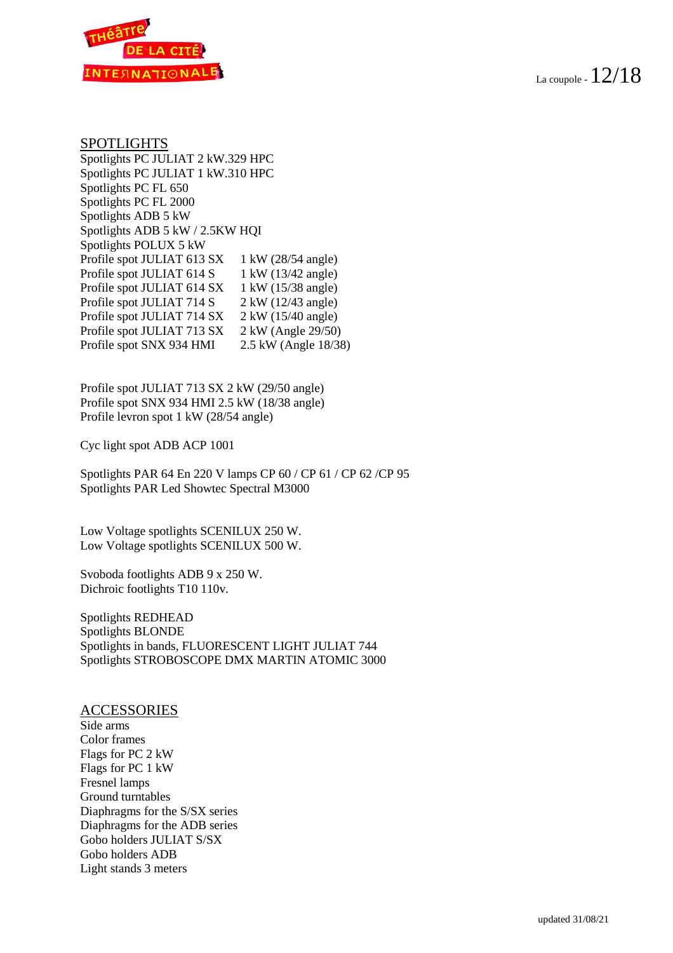

#### SPOTLIGHTS

Spotlights PC JULIAT 2 kW.329 HPC Spotlights PC JULIAT 1 kW.310 HPC Spotlights PC FL 650 Spotlights PC FL 2000 Spotlights ADB 5 kW Spotlights ADB 5 kW / 2.5KW HQI Spotlights POLUX 5 kW Profile spot JULIAT 613 SX 1 kW (28/54 angle)<br>Profile spot JULIAT 614 S 1 kW (13/42 angle) Profile spot JULIAT 614 S Profile spot JULIAT 614 SX 1 kW (15/38 angle) Profile spot JULIAT 714 S 2 kW (12/43 angle) Profile spot JULIAT 714 SX 2 kW (15/40 angle) Profile spot JULIAT 713 SX 2 kW (Angle 29/50) Profile spot SNX 934 HMI 2.5 kW (Angle 18/38)

Profile spot JULIAT 713 SX 2 kW (29/50 angle) Profile spot SNX 934 HMI 2.5 kW (18/38 angle) Profile levron spot 1 kW (28/54 angle)

Cyc light spot ADB ACP 1001

Spotlights PAR 64 En 220 V lamps CP 60 / CP 61 / CP 62 /CP 95 Spotlights PAR Led Showtec Spectral M3000

Low Voltage spotlights SCENILUX 250 W. Low Voltage spotlights SCENILUX 500 W.

Svoboda footlights ADB 9 x 250 W. Dichroic footlights T10 110v.

Spotlights REDHEAD Spotlights BLONDE Spotlights in bands, FLUORESCENT LIGHT JULIAT 744 Spotlights STROBOSCOPE DMX MARTIN ATOMIC 3000

#### ACCESSORIES

Side arms Color frames Flags for PC 2 kW Flags for PC 1 kW Fresnel lamps Ground turntables Diaphragms for the S/SX series Diaphragms for the ADB series Gobo holders JULIAT S/SX Gobo holders ADB Light stands 3 meters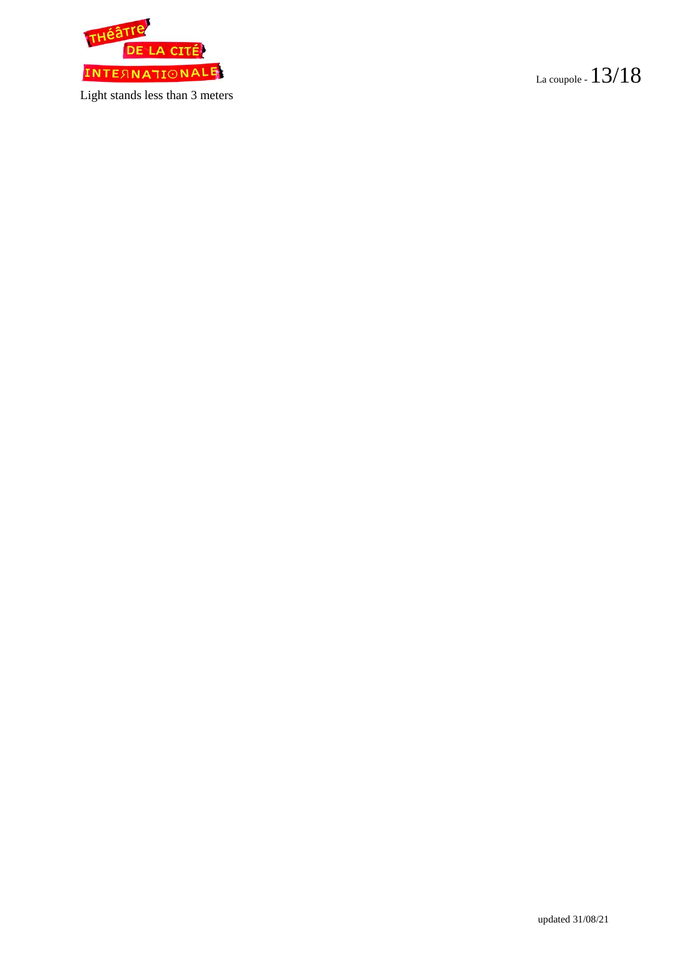

Light stands less than 3 meters

La coupole -  $13/18$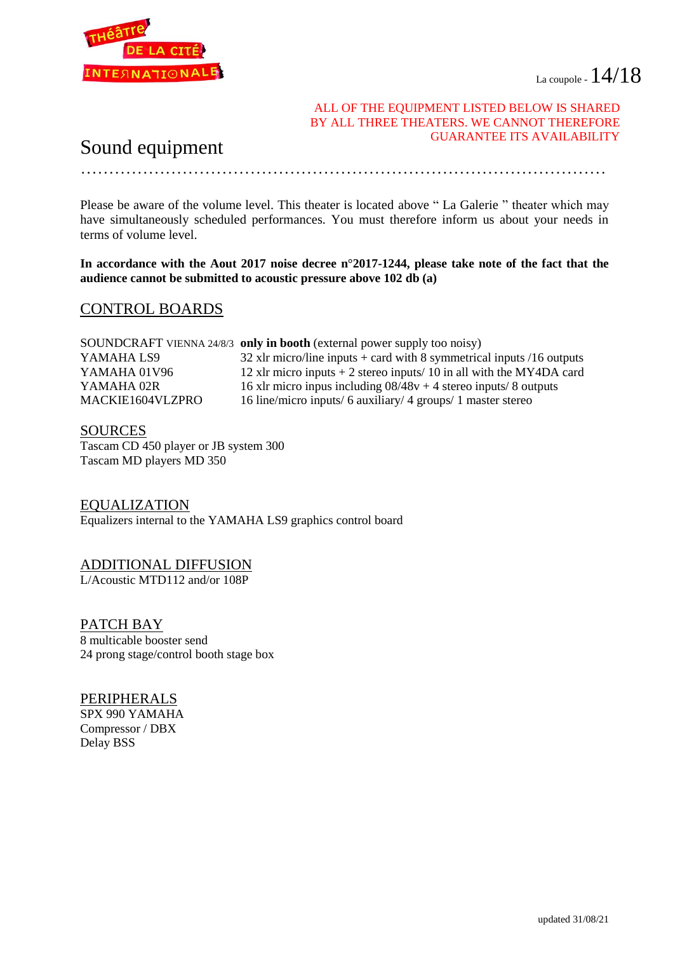

#### ALL OF THE EQUIPMENT LISTED BELOW IS SHARED BY ALL THREE THEATERS. WE CANNOT THEREFORE GUARANTEE ITS AVAILABILITY

## Sound equipment

Please be aware of the volume level. This theater is located above " La Galerie " theater which may have simultaneously scheduled performances. You must therefore inform us about your needs in terms of volume level.

…………………………………………………………………………………

**In accordance with the Aout 2017 noise decree n°2017-1244, please take note of the fact that the audience cannot be submitted to acoustic pressure above 102 db (a)**

#### CONTROL BOARDS

|                  | SOUNDCRAFT VIENNA 24/8/3 only in booth (external power supply too noisy) |
|------------------|--------------------------------------------------------------------------|
| YAMAHA LS9       | 32 xlr micro/line inputs $+$ card with 8 symmetrical inputs /16 outputs  |
| YAMAHA 01V96     | 12 xlr micro inputs $+ 2$ stereo inputs/ 10 in all with the MY4DA card   |
| YAMAHA 02R       | 16 xlr micro inpus including $08/48v + 4$ stereo inputs/8 outputs        |
| MACKIE1604VLZPRO | 16 line/micro inputs/ 6 auxiliary/ 4 groups/ 1 master stereo             |

#### SOURCES

Tascam CD 450 player or JB system 300 Tascam MD players MD 350

EQUALIZATION Equalizers internal to the YAMAHA LS9 graphics control board

#### ADDITIONAL DIFFUSION

L/Acoustic MTD112 and/or 108P

PATCH BAY 8 multicable booster send 24 prong stage/control booth stage box

PERIPHERALS SPX 990 YAMAHA Compressor / DBX Delay BSS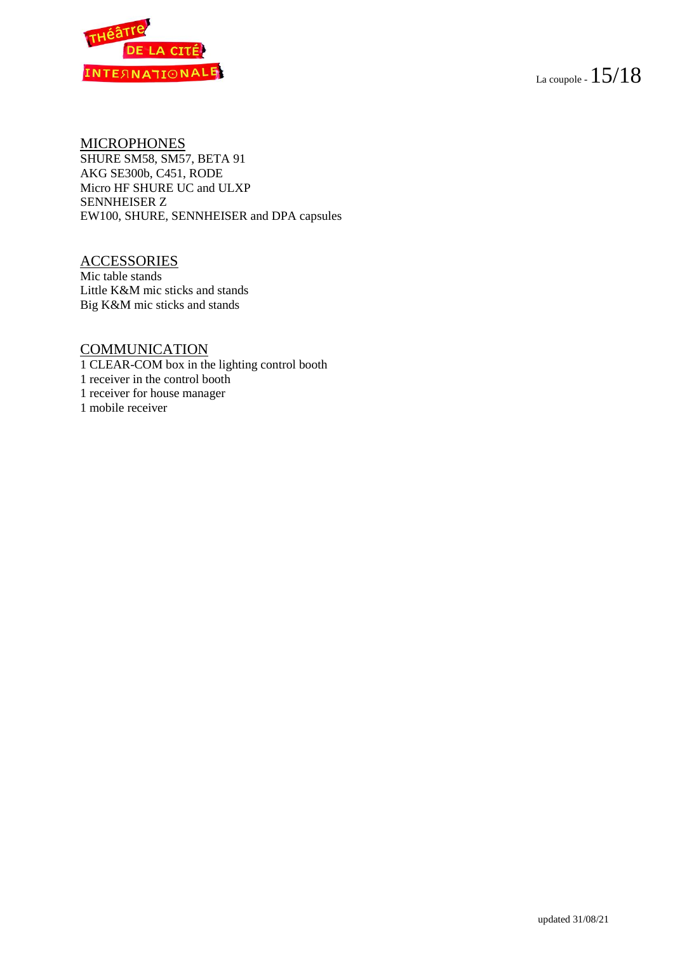



#### MICROPHONES

SHURE SM58, SM57, BETA 91 AKG SE300b, C451, RODE Micro HF SHURE UC and ULXP SENNHEISER Z EW100, SHURE, SENNHEISER and DPA capsules

#### **ACCESSORIES**

Mic table stands Little K&M mic sticks and stands Big K&M mic sticks and stands

#### **COMMUNICATION**

1 CLEAR-COM box in the lighting control booth 1 receiver in the control booth 1 receiver for house manager 1 mobile receiver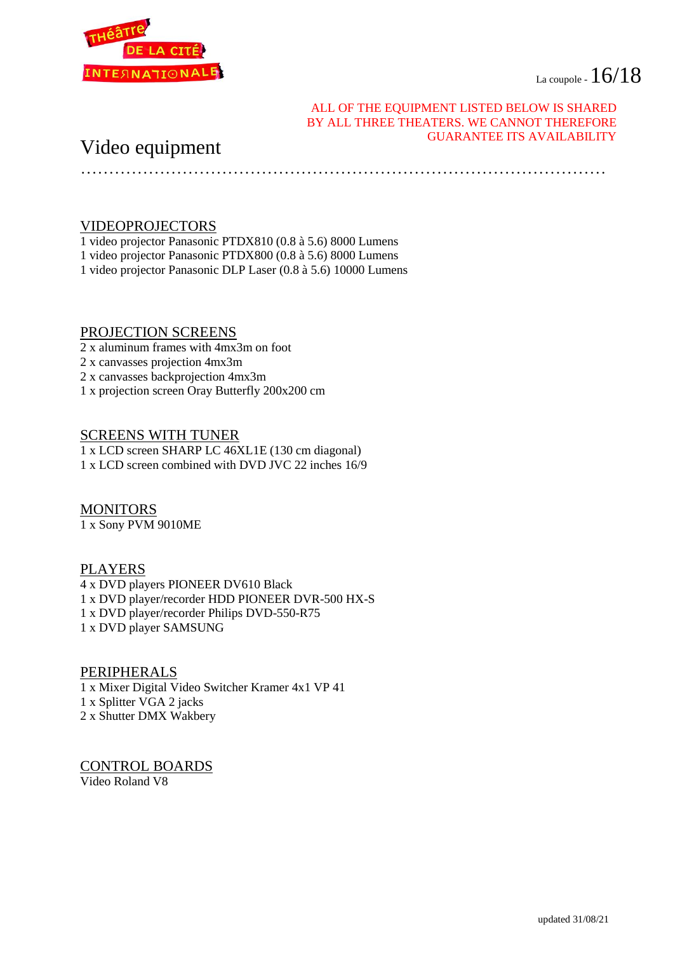La coupole -  $16/18$ 



#### ALL OF THE EQUIPMENT LISTED BELOW IS SHARED BY ALL THREE THEATERS. WE CANNOT THEREFORE GUARANTEE ITS AVAILABILITY

### Video equipment

…………………………………………………………………………………

#### VIDEOPROJECTORS

1 video projector Panasonic PTDX810 (0.8 à 5.6) 8000 Lumens

- 1 video projector Panasonic PTDX800 (0.8 à 5.6) 8000 Lumens
- 1 video projector Panasonic DLP Laser (0.8 à 5.6) 10000 Lumens

#### PROJECTION SCREENS

- 2 x aluminum frames with 4mx3m on foot
- 2 x canvasses projection 4mx3m
- 2 x canvasses backprojection 4mx3m
- 1 x projection screen Oray Butterfly 200x200 cm

#### SCREENS WITH TUNER

1 x LCD screen SHARP LC 46XL1E (130 cm diagonal) 1 x LCD screen combined with DVD JVC 22 inches 16/9

#### MONITORS 1 x Sony PVM 9010ME

## PLAYERS

4 x DVD players PIONEER DV610 Black 1 x DVD player/recorder HDD PIONEER DVR-500 HX-S 1 x DVD player/recorder Philips DVD-550-R75 1 x DVD player SAMSUNG

#### PERIPHERALS

1 x Mixer Digital Video Switcher Kramer 4x1 VP 41 1 x Splitter VGA 2 jacks 2 x Shutter DMX Wakbery

CONTROL BOARDS Video Roland V8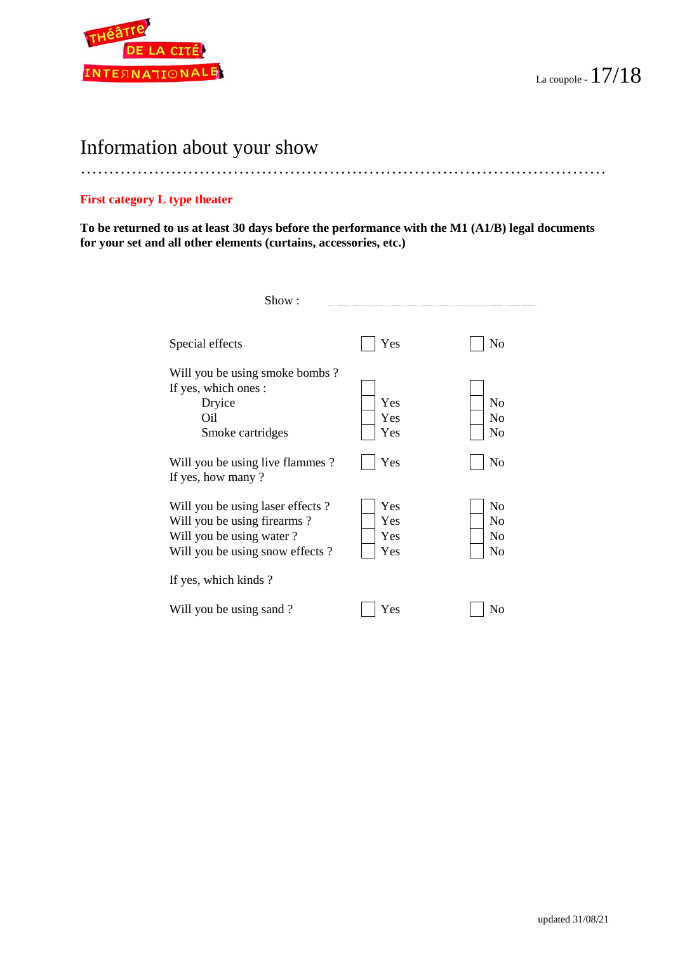

## Information about your show

#### …………………………………………………………………………………

#### **First category L type theater**

**To be returned to us at least 30 days before the performance with the M1 (A1/B) legal documents for your set and all other elements (curtains, accessories, etc.)** 

| Show:                                                                                                                          |                          |                                                          |
|--------------------------------------------------------------------------------------------------------------------------------|--------------------------|----------------------------------------------------------|
| Special effects                                                                                                                | Yes                      | N <sub>o</sub>                                           |
| Will you be using smoke bombs?<br>If yes, which ones :<br>Dryice<br>Oil<br>Smoke cartridges                                    | Yes<br>Yes<br>Yes        | N <sub>0</sub><br>N <sub>0</sub><br>No                   |
| Will you be using live flammes?<br>If yes, how many?                                                                           | Yes                      | No                                                       |
| Will you be using laser effects?<br>Will you be using firearms?<br>Will you be using water?<br>Will you be using snow effects? | Yes<br>Yes<br>Yes<br>Yes | N <sub>0</sub><br>N <sub>0</sub><br>N <sub>0</sub><br>No |
| If yes, which kinds?                                                                                                           |                          |                                                          |
| Will you be using sand?                                                                                                        | Yes                      | No                                                       |